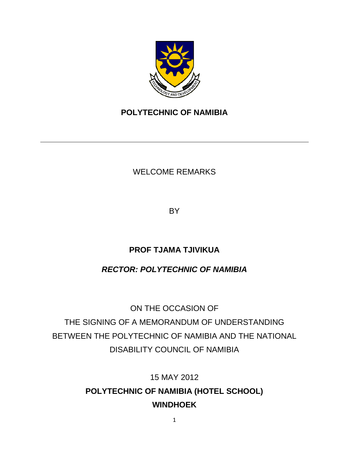

## **POLYTECHNIC OF NAMIBIA**

## WELCOME REMARKS

BY

## **PROF TJAMA TJIVIKUA**

## *RECTOR: POLYTECHNIC OF NAMIBIA*

ON THE OCCASION OF THE SIGNING OF A MEMORANDUM OF UNDERSTANDING BETWEEN THE POLYTECHNIC OF NAMIBIA AND THE NATIONAL DISABILITY COUNCIL OF NAMIBIA

> 15 MAY 2012 **POLYTECHNIC OF NAMIBIA (HOTEL SCHOOL) WINDHOEK**

> > 1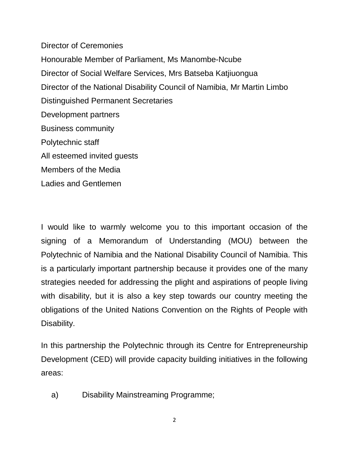Director of Ceremonies Honourable Member of Parliament, Ms Manombe-Ncube Director of Social Welfare Services, Mrs Batseba Katjiuongua Director of the National Disability Council of Namibia, Mr Martin Limbo Distinguished Permanent Secretaries Development partners Business community Polytechnic staff All esteemed invited guests Members of the Media Ladies and Gentlemen

I would like to warmly welcome you to this important occasion of the signing of a Memorandum of Understanding (MOU) between the Polytechnic of Namibia and the National Disability Council of Namibia. This is a particularly important partnership because it provides one of the many strategies needed for addressing the plight and aspirations of people living with disability, but it is also a key step towards our country meeting the obligations of the United Nations Convention on the Rights of People with Disability.

In this partnership the Polytechnic through its Centre for Entrepreneurship Development (CED) will provide capacity building initiatives in the following areas:

a) Disability Mainstreaming Programme;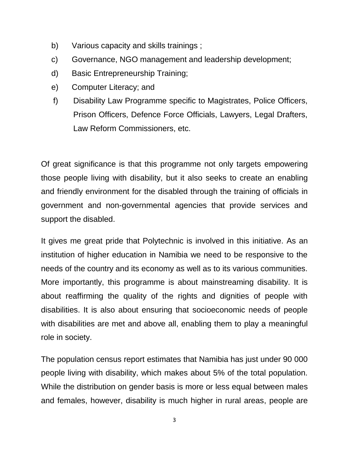- b) Various capacity and skills trainings ;
- c) Governance, NGO management and leadership development;
- d) Basic Entrepreneurship Training;
- e) Computer Literacy; and
- f) Disability Law Programme specific to Magistrates, Police Officers, Prison Officers, Defence Force Officials, Lawyers, Legal Drafters, Law Reform Commissioners, etc.

Of great significance is that this programme not only targets empowering those people living with disability, but it also seeks to create an enabling and friendly environment for the disabled through the training of officials in government and non-governmental agencies that provide services and support the disabled.

It gives me great pride that Polytechnic is involved in this initiative. As an institution of higher education in Namibia we need to be responsive to the needs of the country and its economy as well as to its various communities. More importantly, this programme is about mainstreaming disability. It is about reaffirming the quality of the rights and dignities of people with disabilities. It is also about ensuring that socioeconomic needs of people with disabilities are met and above all, enabling them to play a meaningful role in society.

The population census report estimates that Namibia has just under 90 000 people living with disability, which makes about 5% of the total population. While the distribution on gender basis is more or less equal between males and females, however, disability is much higher in rural areas, people are